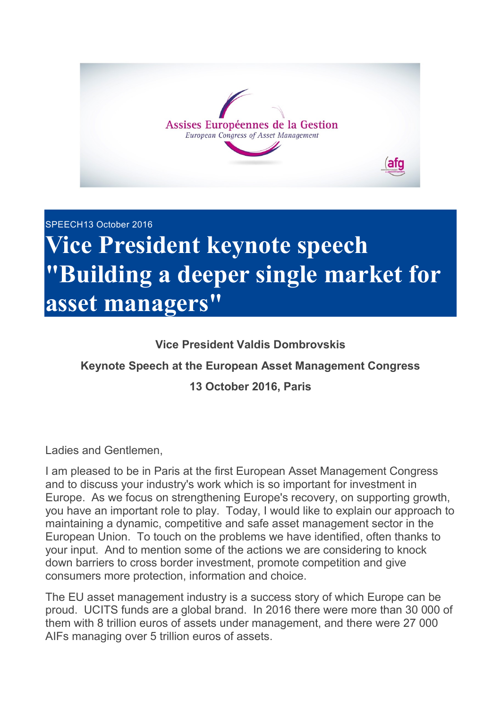

## SPEECH13 October 2016 **Vice President keynote speech "Building a deeper single market for asset managers"**

## **Vice President Valdis Dombrovskis**

## **Keynote Speech at the European Asset Management Congress**

## **13 October 2016, Paris**

Ladies and Gentlemen,

I am pleased to be in Paris at the first European Asset Management Congress and to discuss your industry's work which is so important for investment in Europe. As we focus on strengthening Europe's recovery, on supporting growth, you have an important role to play. Today, I would like to explain our approach to maintaining a dynamic, competitive and safe asset management sector in the European Union. To touch on the problems we have identified, often thanks to your input. And to mention some of the actions we are considering to knock down barriers to cross border investment, promote competition and give consumers more protection, information and choice.

The EU asset management industry is a success story of which Europe can be proud. UCITS funds are a global brand. In 2016 there were more than 30 000 of them with 8 trillion euros of assets under management, and there were 27 000 AIFs managing over 5 trillion euros of assets.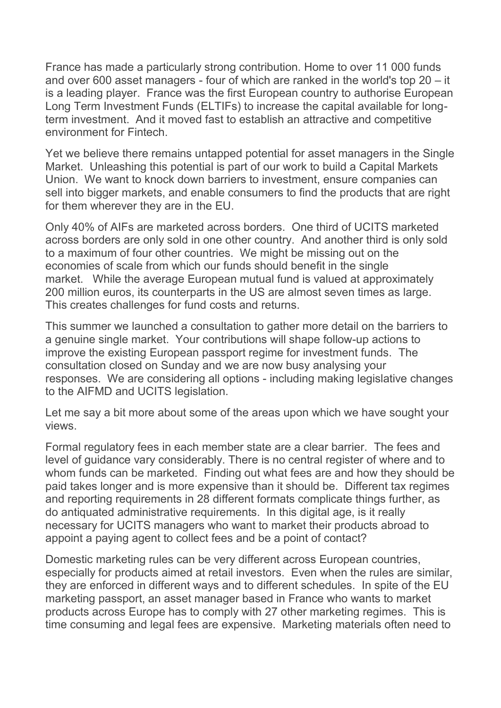France has made a particularly strong contribution. Home to over 11 000 funds and over 600 asset managers - four of which are ranked in the world's top 20 – it is a leading player. France was the first European country to authorise European Long Term Investment Funds (ELTIFs) to increase the capital available for longterm investment. And it moved fast to establish an attractive and competitive environment for Fintech.

Yet we believe there remains untapped potential for asset managers in the Single Market. Unleashing this potential is part of our work to build a Capital Markets Union. We want to knock down barriers to investment, ensure companies can sell into bigger markets, and enable consumers to find the products that are right for them wherever they are in the EU.

Only 40% of AIFs are marketed across borders. One third of UCITS marketed across borders are only sold in one other country. And another third is only sold to a maximum of four other countries. We might be missing out on the economies of scale from which our funds should benefit in the single market. While the average European mutual fund is valued at approximately 200 million euros, its counterparts in the US are almost seven times as large. This creates challenges for fund costs and returns.

This summer we launched a consultation to gather more detail on the barriers to a genuine single market. Your contributions will shape follow-up actions to improve the existing European passport regime for investment funds. The consultation closed on Sunday and we are now busy analysing your responses. We are considering all options - including making legislative changes to the AIFMD and UCITS legislation.

Let me say a bit more about some of the areas upon which we have sought your views.

Formal regulatory fees in each member state are a clear barrier. The fees and level of guidance vary considerably. There is no central register of where and to whom funds can be marketed. Finding out what fees are and how they should be paid takes longer and is more expensive than it should be. Different tax regimes and reporting requirements in 28 different formats complicate things further, as do antiquated administrative requirements. In this digital age, is it really necessary for UCITS managers who want to market their products abroad to appoint a paying agent to collect fees and be a point of contact?

Domestic marketing rules can be very different across European countries, especially for products aimed at retail investors. Even when the rules are similar, they are enforced in different ways and to different schedules. In spite of the EU marketing passport, an asset manager based in France who wants to market products across Europe has to comply with 27 other marketing regimes. This is time consuming and legal fees are expensive. Marketing materials often need to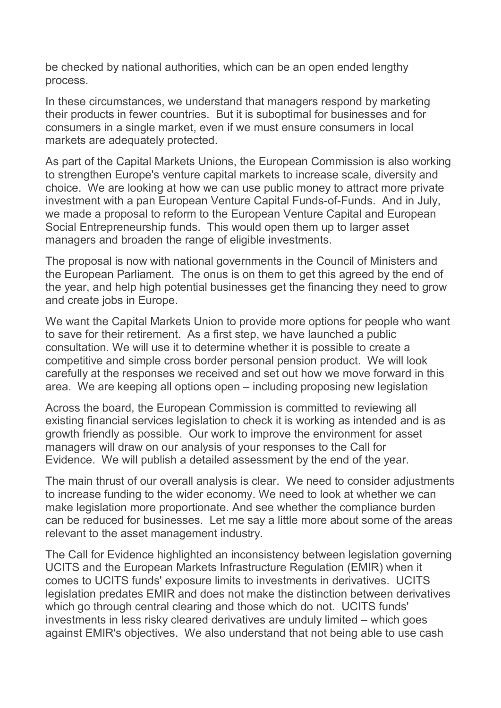be checked by national authorities, which can be an open ended lengthy process.

In these circumstances, we understand that managers respond by marketing their products in fewer countries. But it is suboptimal for businesses and for consumers in a single market, even if we must ensure consumers in local markets are adequately protected.

As part of the Capital Markets Unions, the European Commission is also working to strengthen Europe's venture capital markets to increase scale, diversity and choice. We are looking at how we can use public money to attract more private investment with a pan European Venture Capital Funds-of-Funds. And in July, we made a proposal to reform to the European Venture Capital and European Social Entrepreneurship funds. This would open them up to larger asset managers and broaden the range of eligible investments.

The proposal is now with national governments in the Council of Ministers and the European Parliament. The onus is on them to get this agreed by the end of the year, and help high potential businesses get the financing they need to grow and create jobs in Europe.

We want the Capital Markets Union to provide more options for people who want to save for their retirement. As a first step, we have launched a public consultation. We will use it to determine whether it is possible to create a competitive and simple cross border personal pension product. We will look carefully at the responses we received and set out how we move forward in this area. We are keeping all options open – including proposing new legislation

Across the board, the European Commission is committed to reviewing all existing financial services legislation to check it is working as intended and is as growth friendly as possible. Our work to improve the environment for asset managers will draw on our analysis of your responses to the Call for Evidence. We will publish a detailed assessment by the end of the year.

The main thrust of our overall analysis is clear. We need to consider adjustments to increase funding to the wider economy. We need to look at whether we can make legislation more proportionate. And see whether the compliance burden can be reduced for businesses. Let me say a little more about some of the areas relevant to the asset management industry.

The Call for Evidence highlighted an inconsistency between legislation governing UCITS and the European Markets Infrastructure Regulation (EMIR) when it comes to UCITS funds' exposure limits to investments in derivatives. UCITS legislation predates EMIR and does not make the distinction between derivatives which go through central clearing and those which do not. UCITS funds' investments in less risky cleared derivatives are unduly limited – which goes against EMIR's objectives. We also understand that not being able to use cash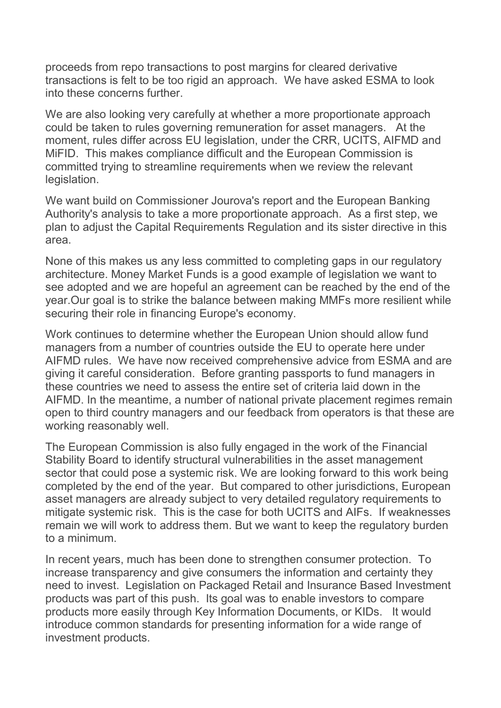proceeds from repo transactions to post margins for cleared derivative transactions is felt to be too rigid an approach. We have asked ESMA to look into these concerns further.

We are also looking very carefully at whether a more proportionate approach could be taken to rules governing remuneration for asset managers. At the moment, rules differ across EU legislation, under the CRR, UCITS, AIFMD and MiFID. This makes compliance difficult and the European Commission is committed trying to streamline requirements when we review the relevant legislation.

We want build on Commissioner Jourova's report and the European Banking Authority's analysis to take a more proportionate approach. As a first step, we plan to adjust the Capital Requirements Regulation and its sister directive in this area.

None of this makes us any less committed to completing gaps in our regulatory architecture. Money Market Funds is a good example of legislation we want to see adopted and we are hopeful an agreement can be reached by the end of the year.Our goal is to strike the balance between making MMFs more resilient while securing their role in financing Europe's economy.

Work continues to determine whether the European Union should allow fund managers from a number of countries outside the EU to operate here under AIFMD rules. We have now received comprehensive advice from ESMA and are giving it careful consideration. Before granting passports to fund managers in these countries we need to assess the entire set of criteria laid down in the AIFMD. In the meantime, a number of national private placement regimes remain open to third country managers and our feedback from operators is that these are working reasonably well.

The European Commission is also fully engaged in the work of the Financial Stability Board to identify structural vulnerabilities in the asset management sector that could pose a systemic risk. We are looking forward to this work being completed by the end of the year. But compared to other jurisdictions, European asset managers are already subject to very detailed regulatory requirements to mitigate systemic risk. This is the case for both UCITS and AIFs. If weaknesses remain we will work to address them. But we want to keep the regulatory burden to a minimum.

In recent years, much has been done to strengthen consumer protection. To increase transparency and give consumers the information and certainty they need to invest. Legislation on Packaged Retail and Insurance Based Investment products was part of this push. Its goal was to enable investors to compare products more easily through Key Information Documents, or KIDs. It would introduce common standards for presenting information for a wide range of investment products.